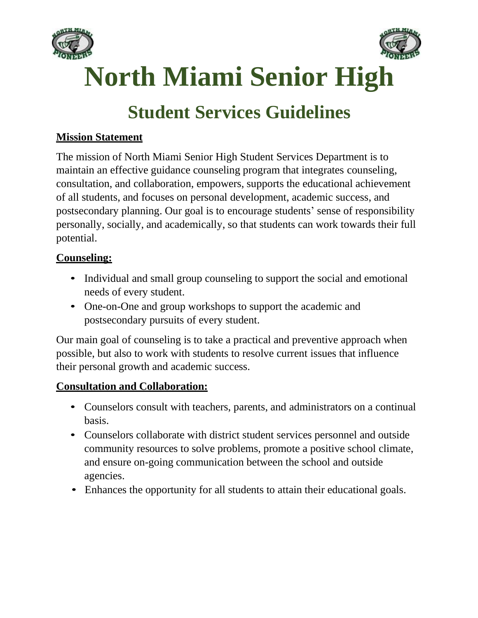



**North Miami Senior High**

# **Student Services Guidelines**

### **Mission Statement**

The mission of North Miami Senior High Student Services Department is to maintain an effective guidance counseling program that integrates counseling, consultation, and collaboration, empowers, supports the educational achievement of all students, and focuses on personal development, academic success, and postsecondary planning. Our goal is to encourage students' sense of responsibility personally, socially, and academically, so that students can work towards their full potential.

### **Counseling:**

- Individual and small group counseling to support the social and emotional needs of every student.
- One-on-One and group workshops to support the academic and postsecondary pursuits of every student.

Our main goal of counseling is to take a practical and preventive approach when possible, but also to work with students to resolve current issues that influence their personal growth and academic success.

### **Consultation and Collaboration:**

- Counselors consult with teachers, parents, and administrators on a continual basis.
- Counselors collaborate with district student services personnel and outside community resources to solve problems, promote a positive school climate, and ensure on-going communication between the school and outside agencies.
- Enhances the opportunity for all students to attain their educational goals.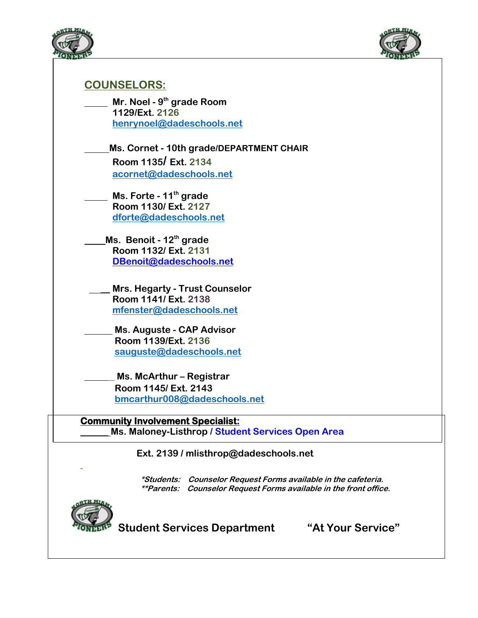



# **COUNSELORS:**

| Mr. Noel - 9 <sup>th</sup> grade Room |
|---------------------------------------|
| 1129/Ext. 2126                        |
| henrynoel@dadeschools.net             |
|                                       |

**Ms. Cornet - 10th grade/DEPARTMENT CHAIR Room 1135/ Ext. 2134 [acornet@dadeschools.net](mailto:acornet@dadeschools.net)**

 **Ms. Forte - 11th grade Room 1130/ Ext. 2127 [dforte@dadeschools.net](mailto:dforte@dadeschools.net)**

**Ms. Benoit - 12 th grade Room 1132/ Ext. 2131 [DBenoit@dadeschools.net](mailto:DBenoit@dadeschools.net)**

**\_\_ Mrs. Hegarty - Trust Counselor Room 1141/ Ext. [2138](mailto:2138/mfenster@dadeschools.net)  [mfenster@dadeschools.net](mailto:mfenster@dadeschools.net)**

**Ms. Auguste - CAP Advisor Room 1139/Ext. 2136 [sauguste@dadeschools.net](mailto:sauguste@dadeschools.net)**

**Ms. McArthur – Registrar Room 1145/ Ext. 2143 [bmcarthur008@dadeschools.net](mailto:bmcarthur008@dadeschools.net)**

**Community Involvement Specialist: \_\_\_\_\_\_ Ms. Maloney-Listhrop / Student Services Open Area**

**Ext. 2139 / mlisthrop@dadeschools.net**

 **\*Students: Counselor Request Forms available in the cafeteria. \*\*Parents: Counselor Request Forms available in the front office.**



**Student Services Department "At Your Service"**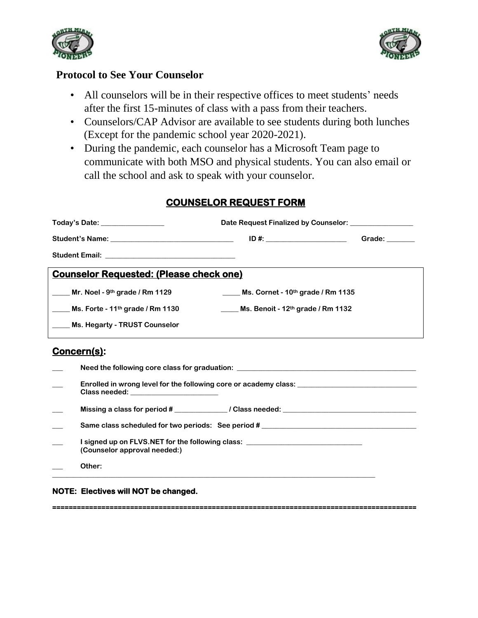



**=========================================================================================**

#### **Protocol to See Your Counselor**

- All counselors will be in their respective offices to meet students' needs after the first 15-minutes of class with a pass from their teachers.
- Counselors/CAP Advisor are available to see students during both lunches (Except for the pandemic school year 2020-2021).
- During the pandemic, each counselor has a Microsoft Team page to communicate with both MSO and physical students. You can also email or call the school and ask to speak with your counselor.

### **COUNSELOR REQUEST FORM**

| Today's Date: ________________                 | Date Request Finalized by Counselor:                        |               |  |  |  |
|------------------------------------------------|-------------------------------------------------------------|---------------|--|--|--|
|                                                |                                                             | Grade: $\_\_$ |  |  |  |
|                                                |                                                             |               |  |  |  |
| <b>Counselor Requested: (Please check one)</b> |                                                             |               |  |  |  |
| Mr. Noel - 9 <sup>th</sup> grade / Rm 1129     | $\frac{1}{2}$ Ms. Cornet - 10 <sup>th</sup> grade / Rm 1135 |               |  |  |  |
| Ms. Forte - 11 <sup>th</sup> grade / Rm 1130   | Ms. Benoit - $12th$ grade / Rm 1132                         |               |  |  |  |
| Ms. Hegarty - TRUST Counselor                  |                                                             |               |  |  |  |
|                                                |                                                             |               |  |  |  |

### **Concern(s):**

| Need the following core class for graduation: __________________________________                                          |
|---------------------------------------------------------------------------------------------------------------------------|
| Enrolled in wrong level for the following core or academy class: _______________<br>Class needed: _______________________ |
| Missing a class for period # ________________/ Class needed: ___________________                                          |
| Same class scheduled for two periods: See period #                                                                        |
| I signed up on FLVS.NET for the following class: _______________________________<br>(Counselor approval needed:)          |
| Other:                                                                                                                    |

**NOTE: Electives will NOT be changed.**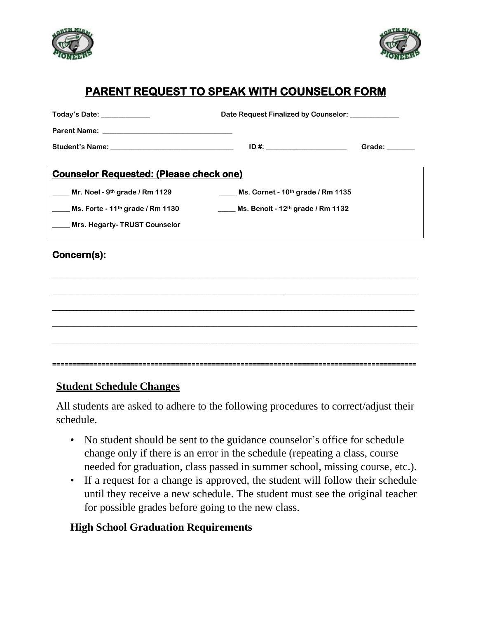



# **PARENT REQUEST TO SPEAK WITH COUNSELOR FORM**

| Today's Date: _____________                                | Date Request Finalized by Counselor:                        |               |  |  |  |
|------------------------------------------------------------|-------------------------------------------------------------|---------------|--|--|--|
|                                                            |                                                             |               |  |  |  |
|                                                            |                                                             | Grade: $\_\_$ |  |  |  |
| <b>Counselor Requested: (Please check one)</b>             |                                                             |               |  |  |  |
| $\frac{1}{2}$ Mr. Noel - 9 <sup>th</sup> grade / Rm 1129   | $\frac{1}{2}$ Ms. Cornet - 10 <sup>th</sup> grade / Rm 1135 |               |  |  |  |
| $\frac{1}{2}$ Ms. Forte - 11 <sup>th</sup> grade / Rm 1130 | <b>Ms. Benoit - 12th grade / Rm 1132</b>                    |               |  |  |  |
| Mrs. Hegarty-TRUST Counselor                               |                                                             |               |  |  |  |
| Concern(s):                                                |                                                             |               |  |  |  |

### **Student Schedule Changes**

All students are asked to adhere to the following procedures to correct/adjust their schedule.

- No student should be sent to the guidance counselor's office for schedule change only if there is an error in the schedule (repeating a class, course needed for graduation, class passed in summer school, missing course, etc.).
- If a request for a change is approved, the student will follow their schedule until they receive a new schedule. The student must see the original teacher for possible grades before going to the new class.

### **High School Graduation Requirements**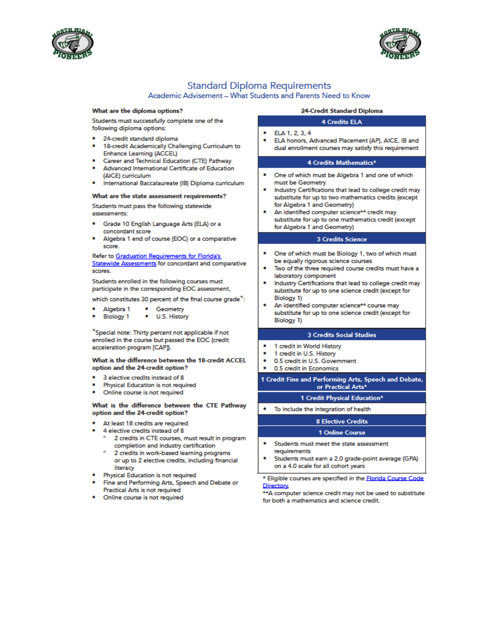



#### **Standard Diploma Requirements**

#### Academic Advisement - What Students and Parents Need to Know

#### What are the diploma options?

Students must successfully complete one of the following diploma options:

- 24-credit standard diploma
- 18-credit Academically Challenging Curriculum to Enhance Learning (ACCEL)
- Career and Technical Education (CTE) Pathway
- Advanced International Certificate of Education (AICE) curriculum
- International Baccalaureate (IB) Diploma curriculum

#### What are the state assessment requirements?

Students must pass the following statewide assessments:

- Grade 10 English Language Arts (ELA) or a concordant score
- Algebra 1 end of course (EOC) or a comparative score

Refer to Graduation Requirements for Florida's Statewide Assessments for concordant and comparative scores.

Students enrolled in the following courses must participate in the corresponding EOC assessment,

which constitutes 30 percent of the final course grade<sup>+</sup>:

- Algebra 1 • Geometry
- **Biology 1** • U.S. History

\*Special note: Thirty percent not applicable if not enrolled in the course but passed the EOC (credit acceleration program [CAP].

#### What is the difference between the 18-credit ACCEL option and the 24-credit option?

- 3 elective credits instead of 8
- Physical Education is not required
- Online course is not required

#### What is the difference between the CTE Pathway option and the 24-credit option?

- At least 18 credits are required
- 4 elective credits instead of 8
	- 2 credits in CTE courses, must result in program completion and industry certification
	- 2 credits in work-based learning programs or up to 2 elective credits, including financial literacy
- Physical Education is not required
- Fine and Performing Arts, Speech and Debate or Practical Arts is not required
- Online course is not required

#### 24-Credit Standard Diploma

#### **4 Credits ELA**

- ELA 1, 2, 3, 4
- ELA honors, Advanced Placement (AP), AICE, IB and dual enrollment courses may satisfy this requirement

#### 4 Credits Mathematics\*

- One of which must be Algebra 1 and one of which must be Geometry
- Industry Certifications that lead to college credit may substitute for up to two mathematics credits (except for Algebra 1 and Geometry)
- An identified computer science<sup>++</sup> credit may substitute for up to one mathematics credit (except for Algebra 1 and Geometry)

#### 3 Credits Science

- One of which must be Biology 1, two of which must be equally rigorous science courses
- Two of the three required course credits must have a laboratory component
- Industry Certifications that lead to college credit may substitute for up to one science credit (except for **Biology 1)**
- An identified computer science<sup>++</sup> course may substitute for up to one science credit (except for Biology 1)

#### **3 Credits Social Studies**

- 1 credit in World History
- 1 credit in U.S. History
- 0.5 credit in U.S. Government
- 0.5 credit in Economics

1 Credit Fine and Performing Arts, Speech and Debate, or Practical Arts\*

#### 1 Credit Physical Education\*

• To include the integration of health

#### **8 Elective Credits**

#### 1 Online Course

- Students must meet the state assessment requirements
- Students must earn a 2.0 grade-point average (GPA) on a 4.0 scale for all cohort years

\* Eligible courses are specified in the Florida Course Code Directory

\*\* A computer science credit may not be used to substitute for both a mathematics and science credit.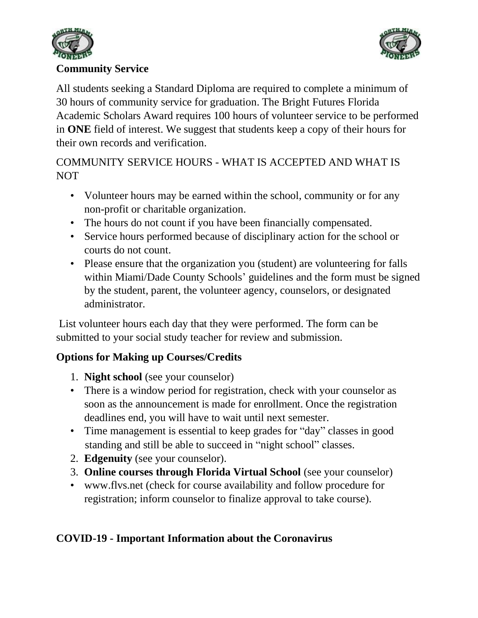



### **Community Service**

All students seeking a Standard Diploma are required to complete a minimum of 30 hours of community service for graduation. The Bright Futures Florida Academic Scholars Award requires 100 hours of volunteer service to be performed in **ONE** field of interest. We suggest that students keep a copy of their hours for their own records and verification.

# COMMUNITY SERVICE HOURS - WHAT IS ACCEPTED AND WHAT IS NOT

- Volunteer hours may be earned within the school, community or for any non-profit or charitable organization.
- The hours do not count if you have been financially compensated.
- Service hours performed because of disciplinary action for the school or courts do not count.
- Please ensure that the organization you (student) are volunteering for falls within Miami/Dade County Schools' guidelines and the form must be signed by the student, parent, the volunteer agency, counselors, or designated administrator.

List volunteer hours each day that they were performed. The form can be submitted to your social study teacher for review and submission.

# **Options for Making up Courses/Credits**

- 1. **Night school** (see your counselor)
- There is a window period for registration, check with your counselor as soon as the announcement is made for enrollment. Once the registration deadlines end, you will have to wait until next semester.
- Time management is essential to keep grades for "day" classes in good standing and still be able to succeed in "night school" classes.
- 2. **Edgenuity** (see your counselor).
- 3. **Online courses through Florida Virtual School** (see your counselor)
- [www.flvs.net](http://www.flvs.net/) (check for course availability and follow procedure for registration; inform counselor to finalize approval to take course).

# **COVID-19 - Important Information about the Coronavirus**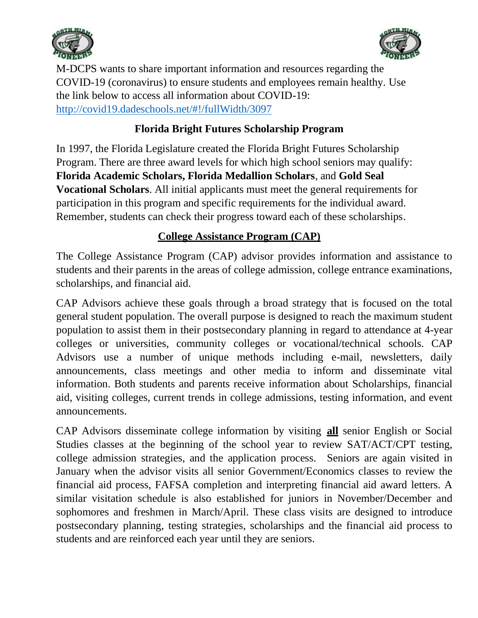



M-DCPS wants to share important information and resources regarding the COVID-19 (coronavirus) to ensure students and employees remain healthy. Use the link below to access all information about COVID-19: [http://covid19.dadeschools.net/#!/fullWidth/3097](http://covid19.dadeschools.net/%23!/fullWidth/3097)

# **Florida Bright Futures Scholarship Program**

In 1997, the Florida Legislature created the Florida Bright Futures Scholarship Program. There are three award levels for which high school seniors may qualify: **Florida Academic Scholars, Florida Medallion Scholars**, and **Gold Seal Vocational Scholars**. All initial applicants must meet the general requirements for participation in this program and specific requirements for the individual award. Remember, students can check their progress toward each of these scholarships.

### **College Assistance Program (CAP)**

The College Assistance Program (CAP) advisor provides information and assistance to students and their parents in the areas of college admission, college entrance examinations, scholarships, and financial aid.

CAP Advisors achieve these goals through a broad strategy that is focused on the total general student population. The overall purpose is designed to reach the maximum student population to assist them in their postsecondary planning in regard to attendance at 4-year colleges or universities, community colleges or vocational/technical schools. CAP Advisors use a number of unique methods including e-mail, newsletters, daily announcements, class meetings and other media to inform and disseminate vital information. Both students and parents receive information about Scholarships, financial aid, visiting colleges, current trends in college admissions, testing information, and event announcements.

CAP Advisors disseminate college information by visiting **all** senior English or Social Studies classes at the beginning of the school year to review SAT/ACT/CPT testing, college admission strategies, and the application process. Seniors are again visited in January when the advisor visits all senior Government/Economics classes to review the financial aid process, FAFSA completion and interpreting financial aid award letters. A similar visitation schedule is also established for juniors in November/December and sophomores and freshmen in March/April. These class visits are designed to introduce postsecondary planning, testing strategies, scholarships and the financial aid process to students and are reinforced each year until they are seniors.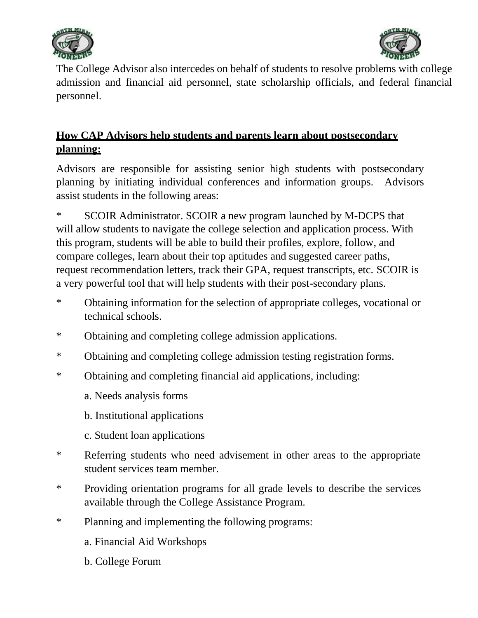



The College Advisor also intercedes on behalf of students to resolve problems with college admission and financial aid personnel, state scholarship officials, and federal financial personnel.

# **How CAP Advisors help students and parents learn about postsecondary planning:**

Advisors are responsible for assisting senior high students with postsecondary planning by initiating individual conferences and information groups. Advisors assist students in the following areas:

\* SCOIR Administrator. SCOIR a new program launched by M-DCPS that will allow students to navigate the college selection and application process. With this program, students will be able to build their profiles, explore, follow, and compare colleges, learn about their top aptitudes and suggested career paths, request recommendation letters, track their GPA, request transcripts, etc. SCOIR is a very powerful tool that will help students with their post-secondary plans.

- \* Obtaining information for the selection of appropriate colleges, vocational or technical schools.
- \* Obtaining and completing college admission applications.
- \* Obtaining and completing college admission testing registration forms.
- \* Obtaining and completing financial aid applications, including:
	- a. Needs analysis forms
	- b. Institutional applications
	- c. Student loan applications
- \* Referring students who need advisement in other areas to the appropriate student services team member.
- \* Providing orientation programs for all grade levels to describe the services available through the College Assistance Program.
- \* Planning and implementing the following programs:
	- a. Financial Aid Workshops
	- b. College Forum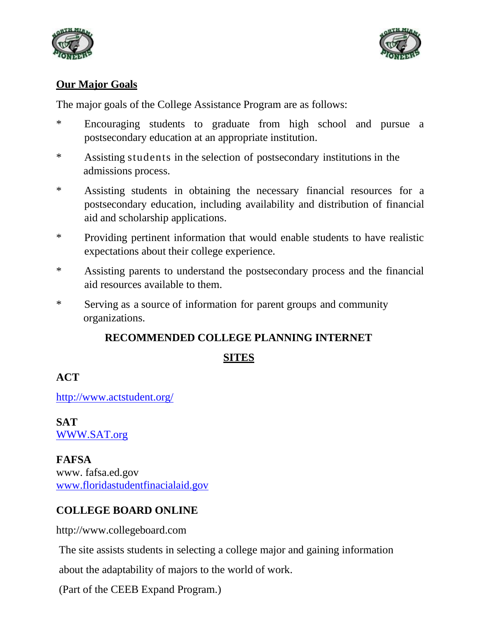



### **Our Major Goals**

The major goals of the College Assistance Program are as follows:

- \* Encouraging students to graduate from high school and pursue a postsecondary education at an appropriate institution.
- \* Assisting students in the selection of postsecondary institutions in the admissions process.
- \* Assisting students in obtaining the necessary financial resources for a postsecondary education, including availability and distribution of financial aid and scholarship applications.
- \* Providing pertinent information that would enable students to have realistic expectations about their college experience.
- \* Assisting parents to understand the postsecondary process and the financial aid resources available to them.
- \* Serving as a source of information for parent groups and community organizations.

# **RECOMMENDED COLLEGE PLANNING INTERNET**

# **SITES**

# **ACT**

<http://www.actstudent.org/>

**SAT**  [WWW.SAT.org](http://www.sat.org/)

**FAFSA** www. fafsa.ed.gov [www.floridastudentfinacialaid.gov](http://www.floridastudentfinacialaid.gov/)

# **COLLEGE BOARD ONLINE**

[http://www.collegeboard.com](http://www.collegeboard.com/)

The site assists students in selecting a college major and gaining information

about the adaptability of majors to the world of work.

(Part of the CEEB Expand Program.)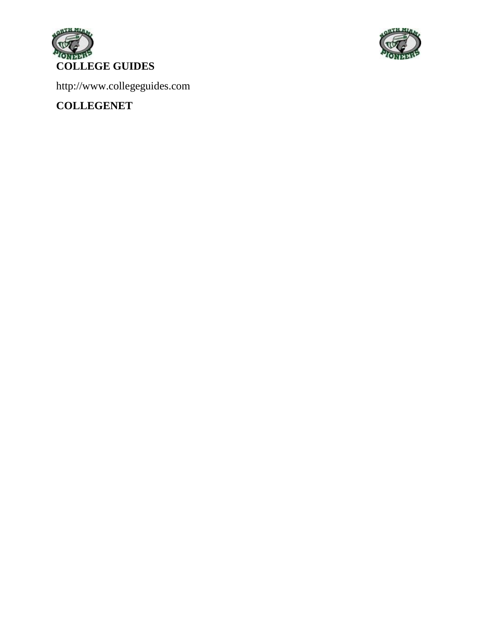



[http://www.collegeguides.com](http://www.collegeguides.com/) 

**COLLEGENET**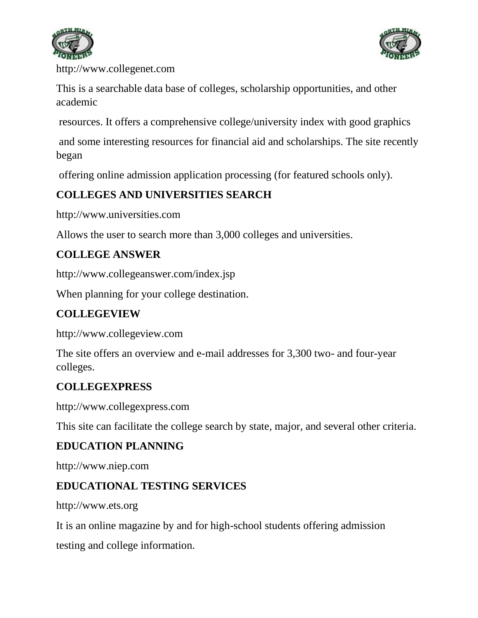



[http://www.collegenet.com](http://www.collegenet.com/)

This is a searchable data base of colleges, scholarship opportunities, and other academic

resources. It offers a comprehensive college/university index with good graphics

and some interesting resources for financial aid and scholarships. The site recently began

offering online admission application processing (for featured schools only).

# **COLLEGES AND UNIVERSITIES SEARCH**

[http://www.universities.com](http://www.universities.com/)

Allows the user to search more than 3,000 colleges and universities.

# **COLLEGE ANSWER**

<http://www.collegeanswer.com/index.jsp>

When planning for your college destination.

# **COLLEGEVIEW**

[http://www.collegeview.com](http://www.collegeview.com/)

The site offers an overview and e-mail addresses for 3,300 two- and four-year colleges.

# **COLLEGEXPRESS**

[http://www.collegexpress.com](http://www.collegexpress.com/)

This site can facilitate the college search by state, major, and several other criteria.

# **EDUCATION PLANNING**

[http://www.niep.com](http://www.niep.com/)

# **EDUCATIONAL TESTING SERVICES**

[http://www.ets.org](http://www.ets.org/)

It is an online magazine by and for high-school students offering admission

testing and college information.